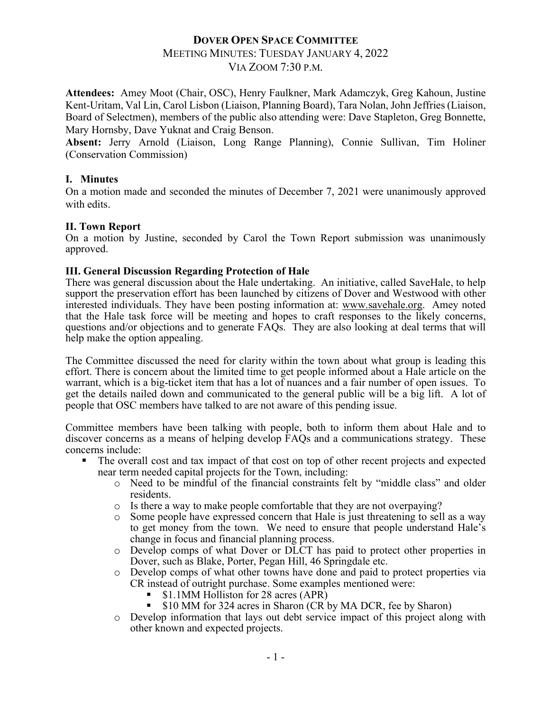### **DOVER OPEN SPACE COMMITTEE**

# MEETING MINUTES: TUESDAY JANUARY 4, 2022

VIA ZOOM 7:30 P.M.

**Attendees:** Amey Moot (Chair, OSC), Henry Faulkner, Mark Adamczyk, Greg Kahoun, Justine Kent-Uritam, Val Lin, Carol Lisbon (Liaison, Planning Board), Tara Nolan, John Jeffries(Liaison, Board of Selectmen), members of the public also attending were: Dave Stapleton, Greg Bonnette, Mary Hornsby, Dave Yuknat and Craig Benson.

**Absent:** Jerry Arnold (Liaison, Long Range Planning), Connie Sullivan, Tim Holiner (Conservation Commission)

#### **I. Minutes**

On a motion made and seconded the minutes of December 7, 2021 were unanimously approved with edits.

#### **II. Town Report**

On a motion by Justine, seconded by Carol the Town Report submission was unanimously approved.

#### **III. General Discussion Regarding Protection of Hale**

There was general discussion about the Hale undertaking. An initiative, called SaveHale, to help support the preservation effort has been launched by citizens of Dover and Westwood with other interested individuals. They have been posting information at: www.savehale.org. Amey noted that the Hale task force will be meeting and hopes to craft responses to the likely concerns, questions and/or objections and to generate FAQs. They are also looking at deal terms that will help make the option appealing.

The Committee discussed the need for clarity within the town about what group is leading this effort. There is concern about the limited time to get people informed about a Hale article on the warrant, which is a big-ticket item that has a lot of nuances and a fair number of open issues. To get the details nailed down and communicated to the general public will be a big lift. A lot of people that OSC members have talked to are not aware of this pending issue.

Committee members have been talking with people, both to inform them about Hale and to discover concerns as a means of helping develop FAQs and a communications strategy. These concerns include:

- The overall cost and tax impact of that cost on top of other recent projects and expected near term needed capital projects for the Town, including:
	- o Need to be mindful of the financial constraints felt by "middle class" and older residents.
	- o Is there a way to make people comfortable that they are not overpaying?
	- o Some people have expressed concern that Hale is just threatening to sell as a way to get money from the town. We need to ensure that people understand Hale's change in focus and financial planning process.
	- o Develop comps of what Dover or DLCT has paid to protect other properties in Dover, such as Blake, Porter, Pegan Hill, 46 Springdale etc.
	- o Develop comps of what other towns have done and paid to protect properties via CR instead of outright purchase. Some examples mentioned were:
		- § \$1.1MM Holliston for 28 acres (APR)
		- § \$10 MM for 324 acres in Sharon (CR by MA DCR, fee by Sharon)
	- o Develop information that lays out debt service impact of this project along with other known and expected projects.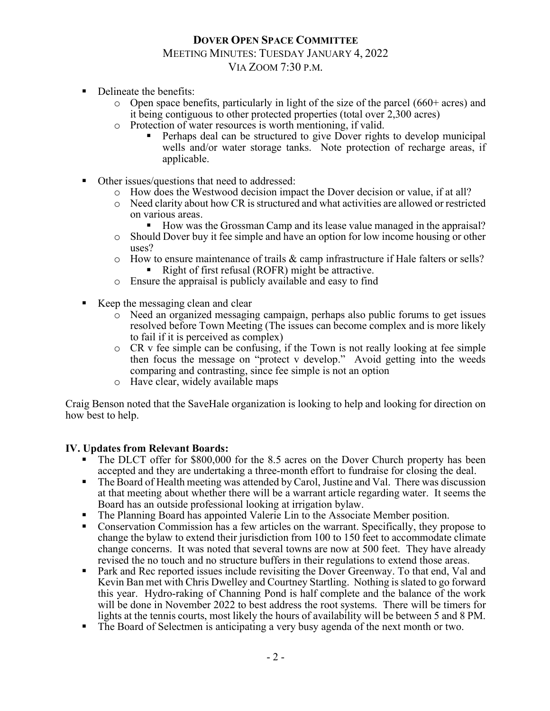### **DOVER OPEN SPACE COMMITTEE** MEETING MINUTES: TUESDAY JANUARY 4, 2022 VIA ZOOM 7:30 P.M.

- Delineate the benefits:
	- o Open space benefits, particularly in light of the size of the parcel (660+ acres) and it being contiguous to other protected properties (total over 2,300 acres)
	- o Protection of water resources is worth mentioning, if valid.
		- Perhaps deal can be structured to give Dover rights to develop municipal wells and/or water storage tanks. Note protection of recharge areas, if applicable.
- Other issues/questions that need to addressed:
	- o How does the Westwood decision impact the Dover decision or value, if at all?
	- $\circ$  Need clarity about how CR is structured and what activities are allowed or restricted on various areas.
		- How was the Grossman Camp and its lease value managed in the appraisal?
	- o Should Dover buy it fee simple and have an option for low income housing or other uses?
	- $\circ$  How to ensure maintenance of trails & camp infrastructure if Hale falters or sells? Right of first refusal (ROFR) might be attractive.
	- o Ensure the appraisal is publicly available and easy to find
- Keep the messaging clean and clear
	- o Need an organized messaging campaign, perhaps also public forums to get issues resolved before Town Meeting (The issues can become complex and is more likely to fail if it is perceived as complex)
	- o CR v fee simple can be confusing, if the Town is not really looking at fee simple then focus the message on "protect v develop." Avoid getting into the weeds comparing and contrasting, since fee simple is not an option
	- o Have clear, widely available maps

Craig Benson noted that the SaveHale organization is looking to help and looking for direction on how best to help.

#### **IV. Updates from Relevant Boards:**

- The DLCT offer for \$800,000 for the 8.5 acres on the Dover Church property has been accepted and they are undertaking a three-month effort to fundraise for closing the deal.
- The Board of Health meeting was attended by Carol, Justine and Val. There was discussion at that meeting about whether there will be a warrant article regarding water. It seems the Board has an outside professional looking at irrigation bylaw.
- § The Planning Board has appointed Valerie Lin to the Associate Member position.
- § Conservation Commission has a few articles on the warrant. Specifically, they propose to change the bylaw to extend their jurisdiction from 100 to 150 feet to accommodate climate change concerns. It was noted that several towns are now at 500 feet. They have already revised the no touch and no structure buffers in their regulations to extend those areas.
- Park and Rec reported issues include revisiting the Dover Greenway. To that end, Val and Kevin Ban met with Chris Dwelley and Courtney Startling. Nothing is slated to go forward this year. Hydro-raking of Channing Pond is half complete and the balance of the work will be done in November 2022 to best address the root systems. There will be timers for lights at the tennis courts, most likely the hours of availability will be between 5 and 8 PM.
- The Board of Selectmen is anticipating a very busy agenda of the next month or two.